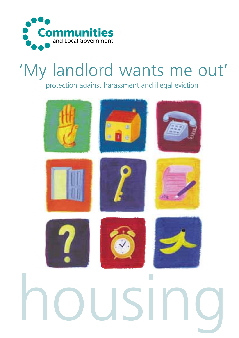

# 'My landlord wants me out'

protection against harassment and illegal eviction

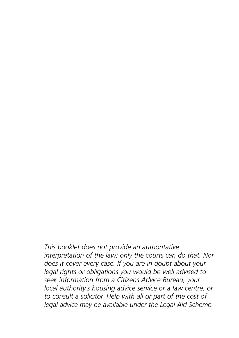*This booklet does not provide an authoritative interpretation of the law; only the courts can do that. Nor does it cover every case. If you are in doubt about your legal rights or obligations you would be well advised to seek information from a Citizens Advice Bureau, your local authority's housing advice service or a law centre, or to consult a solicitor. Help with all or part of the cost of legal advice may be available under the Legal Aid Scheme.*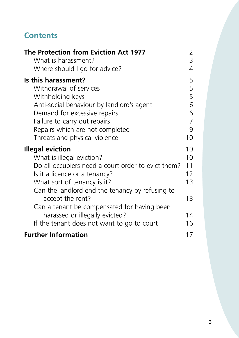#### **Contents**

| The Protection from Eviction Act 1977<br>What is harassment? | 2<br>3         |
|--------------------------------------------------------------|----------------|
| Where should I go for advice?                                | 4              |
| Is this harassment?                                          | 5              |
| Withdrawal of services                                       | 5              |
| Withholding keys                                             | 5              |
| Anti-social behaviour by landlord's agent                    | 6              |
| Demand for excessive repairs                                 | 6              |
| Failure to carry out repairs                                 | $\overline{7}$ |
| Repairs which are not completed                              | 9              |
| Threats and physical violence                                | 10             |
| <b>Illegal eviction</b>                                      | 10             |
| What is illegal eviction?                                    | 10             |
| Do all occupiers need a court order to evict them?           | 11             |
| Is it a licence or a tenancy?                                | 12             |
| What sort of tenancy is it?                                  | 13             |
| Can the landlord end the tenancy by refusing to              |                |
| accept the rent?                                             | 13             |
| Can a tenant be compensated for having been                  |                |
| harassed or illegally evicted?                               | 14             |
| If the tenant does not want to go to court                   | 16             |
| <b>Further Information</b>                                   | 17             |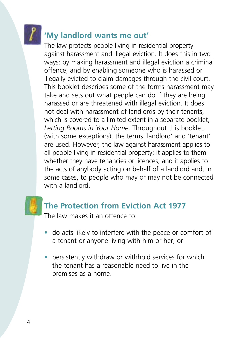<span id="page-3-0"></span>

#### **'My landlord wants me out'**

The law protects people living in residential property against harassment and illegal eviction. It does this in two ways: by making harassment and illegal eviction a criminal offence, and by enabling someone who is harassed or illegally evicted to claim damages through the civil court. This booklet describes some of the forms harassment may take and sets out what people can do if they are being harassed or are threatened with illegal eviction. It does not deal with harassment of landlords by their tenants, which is covered to a limited extent in a separate booklet, *Letting Rooms in Your Home*. Throughout this booklet, (with some exceptions), the terms 'landlord' and 'tenant' are used. However, the law against harassment applies to all people living in residential property; it applies to them whether they have tenancies or licences, and it applies to the acts of anybody acting on behalf of a landlord and, in some cases, to people who may or may not be connected with a landlord.



### **The Protection from Eviction Act 1977**

The law makes it an offence to:

- do acts likely to interfere with the peace or comfort of a tenant or anyone living with him or her; or
- persistently withdraw or withhold services for which the tenant has a reasonable need to live in the premises as a home.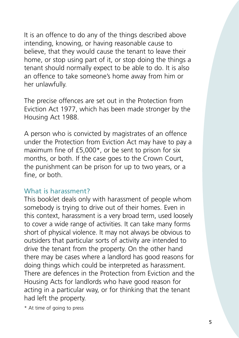<span id="page-4-0"></span>It is an offence to do any of the things described above intending, knowing, or having reasonable cause to believe, that they would cause the tenant to leave their home, or stop using part of it, or stop doing the things a tenant should normally expect to be able to do. It is also an offence to take someone's home away from him or her unlawfully.

The precise offences are set out in the Protection from Eviction Act 1977, which has been made stronger by the Housing Act 1988.

A person who is convicted by magistrates of an offence under the Protection from Eviction Act may have to pay a maximum fine of £5,000\*, or be sent to prison for six months, or both. If the case goes to the Crown Court, the punishment can be prison for up to two years, or a fine, or both.

#### What is harassment?

This booklet deals only with harassment of people whom somebody is trying to drive out of their homes. Even in this context, harassment is a very broad term, used loosely to cover a wide range of activities. It can take many forms short of physical violence. It may not always be obvious to outsiders that particular sorts of activity are intended to drive the tenant from the property. On the other hand there may be cases where a landlord has good reasons for doing things which could be interpreted as harassment. There are defences in the Protection from Eviction and the Housing Acts for landlords who have good reason for acting in a particular way, or for thinking that the tenant had left the property.

\* At time of going to press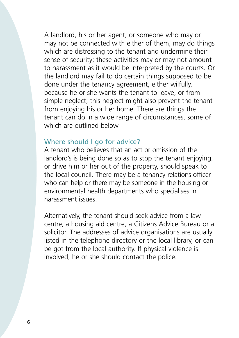<span id="page-5-0"></span>A landlord, his or her agent, or someone who may or may not be connected with either of them, may do things which are distressing to the tenant and undermine their sense of security; these activities may or may not amount to harassment as it would be interpreted by the courts. Or the landlord may fail to do certain things supposed to be done under the tenancy agreement, either wilfully, because he or she wants the tenant to leave, or from simple neglect; this neglect might also prevent the tenant from enjoying his or her home. There are things the tenant can do in a wide range of circumstances, some of which are outlined below.

#### Where should I go for advice?

A tenant who believes that an act or omission of the landlord's is being done so as to stop the tenant enjoying, or drive him or her out of the property, should speak to the local council. There may be a tenancy relations officer who can help or there may be someone in the housing or environmental health departments who specialises in harassment issues.

Alternatively, the tenant should seek advice from a law centre, a housing aid centre, a Citizens Advice Bureau or a solicitor. The addresses of advice organisations are usually listed in the telephone directory or the local library, or can be got from the local authority. If physical violence is involved, he or she should contact the police.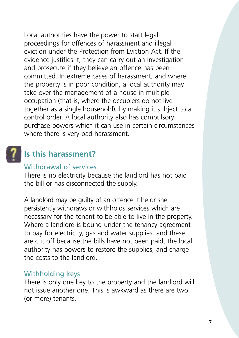<span id="page-6-0"></span>Local authorities have the power to start legal proceedings for offences of harassment and illegal eviction under the Protection from Eviction Act. If the evidence justifies it, they can carry out an investigation and prosecute if they believe an offence has been committed. In extreme cases of harassment, and where the property is in poor condition, a local authority may take over the management of a house in multiple occupation (that is, where the occupiers do not live together as a single household), by making it subject to a control order. A local authority also has compulsory purchase powers which it can use in certain circumstances where there is very bad harassment.

#### **Is this harassment?**

#### Withdrawal of services

There is no electricity because the landlord has not paid the bill or has disconnected the supply.

A landlord may be guilty of an offence if he or she persistently withdraws or withholds services which are necessary for the tenant to be able to live in the property. Where a landlord is bound under the tenancy agreement to pay for electricity, gas and water supplies, and these are cut off because the bills have not been paid, the local authority has powers to restore the supplies, and charge the costs to the landlord.

#### Withholding keys

There is only one key to the property and the landlord will not issue another one. This is awkward as there are two (or more) tenants.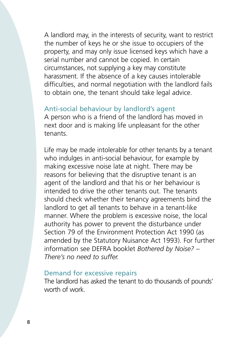<span id="page-7-0"></span>A landlord may, in the interests of security, want to restrict the number of keys he or she issue to occupiers of the property, and may only issue licensed keys which have a serial number and cannot be copied. In certain circumstances, not supplying a key may constitute harassment. If the absence of a key causes intolerable difficulties, and normal negotiation with the landlord fails to obtain one, the tenant should take legal advice.

#### Anti-social behaviour by landlord's agent

A person who is a friend of the landlord has moved in next door and is making life unpleasant for the other tenants.

Life may be made intolerable for other tenants by a tenant who indulges in anti-social behaviour, for example by making excessive noise late at night. There may be reasons for believing that the disruptive tenant is an agent of the landlord and that his or her behaviour is intended to drive the other tenants out. The tenants should check whether their tenancy agreements bind the landlord to get all tenants to behave in a tenant-like manner. Where the problem is excessive noise, the local authority has power to prevent the disturbance under Section 79 of the Environment Protection Act 1990 (as amended by the Statutory Nuisance Act 1993). For further information see DEFRA booklet *Bothered by Noise? – There's no need to suffer.*

#### Demand for excessive repairs

The landlord has asked the tenant to do thousands of pounds' worth of work.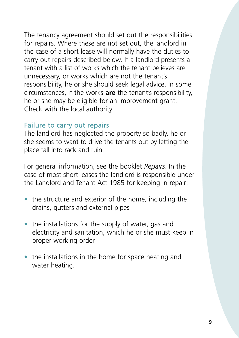<span id="page-8-0"></span>The tenancy agreement should set out the responsibilities for repairs. Where these are not set out, the landlord in the case of a short lease will normally have the duties to carry out repairs described below. If a landlord presents a tenant with a list of works which the tenant believes are unnecessary, or works which are not the tenant's responsibility, he or she should seek legal advice. In some circumstances, if the works **are** the tenant's responsibility, he or she may be eligible for an improvement grant. Check with the local authority.

#### Failure to carry out repairs

The landlord has neglected the property so badly, he or she seems to want to drive the tenants out by letting the place fall into rack and ruin.

For general information, see the booklet *Repairs*. In the case of most short leases the landlord is responsible under the Landlord and Tenant Act 1985 for keeping in repair:

- the structure and exterior of the home, including the drains, gutters and external pipes
- the installations for the supply of water, gas and electricity and sanitation, which he or she must keep in proper working order
- the installations in the home for space heating and water heating.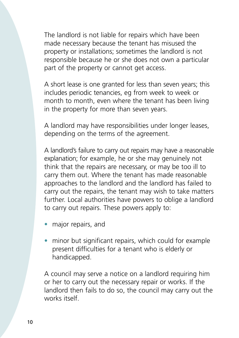The landlord is not liable for repairs which have been made necessary because the tenant has misused the property or installations; sometimes the landlord is not responsible because he or she does not own a particular part of the property or cannot get access.

A short lease is one granted for less than seven years; this includes periodic tenancies, eg from week to week or month to month, even where the tenant has been living in the property for more than seven years.

A landlord may have responsibilities under longer leases, depending on the terms of the agreement.

A landlord's failure to carry out repairs may have a reasonable explanation; for example, he or she may genuinely not think that the repairs are necessary, or may be too ill to carry them out. Where the tenant has made reasonable approaches to the landlord and the landlord has failed to carry out the repairs, the tenant may wish to take matters further. Local authorities have powers to oblige a landlord to carry out repairs. These powers apply to:

- major repairs, and
- minor but significant repairs, which could for example present difficulties for a tenant who is elderly or handicapped.

A council may serve a notice on a landlord requiring him or her to carry out the necessary repair or works. If the landlord then fails to do so, the council may carry out the works itself.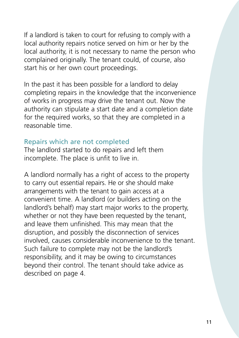<span id="page-10-0"></span>If a landlord is taken to court for refusing to comply with a local authority repairs notice served on him or her by the local authority, it is not necessary to name the person who complained originally. The tenant could, of course, also start his or her own court proceedings.

In the past it has been possible for a landlord to delay completing repairs in the knowledge that the inconvenience of works in progress may drive the tenant out. Now the authority can stipulate a start date and a completion date for the required works, so that they are completed in a reasonable time.

#### Repairs which are not completed

The landlord started to do repairs and left them incomplete. The place is unfit to live in.

A landlord normally has a right of access to the property to carry out essential repairs. He or she should make arrangements with the tenant to gain access at a convenient time. A landlord (or builders acting on the landlord's behalf) may start major works to the property, whether or not they have been requested by the tenant, and leave them unfinished. This may mean that the disruption, and possibly the disconnection of services involved, causes considerable inconvenience to the tenant. Such failure to complete may not be the landlord's responsibility, and it may be owing to circumstances beyond their control. The tenant should take advice as described on page 4.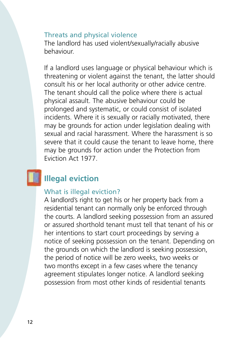#### <span id="page-11-0"></span>Threats and physical violence

The landlord has used violent/sexually/racially abusive behaviour.

If a landlord uses language or physical behaviour which is threatening or violent against the tenant, the latter should consult his or her local authority or other advice centre. The tenant should call the police where there is actual physical assault. The abusive behaviour could be prolonged and systematic, or could consist of isolated incidents. Where it is sexually or racially motivated, there may be grounds for action under legislation dealing with sexual and racial harassment. Where the harassment is so severe that it could cause the tenant to leave home, there may be grounds for action under the Protection from Eviction Act 1977.

#### **Illegal eviction**

#### What is illegal eviction?

A landlord's right to get his or her property back from a residential tenant can normally only be enforced through the courts. A landlord seeking possession from an assured or assured shorthold tenant must tell that tenant of his or her intentions to start court proceedings by serving a notice of seeking possession on the tenant. Depending on the grounds on which the landlord is seeking possession, the period of notice will be zero weeks, two weeks or two months except in a few cases where the tenancy agreement stipulates longer notice. A landlord seeking possession from most other kinds of residential tenants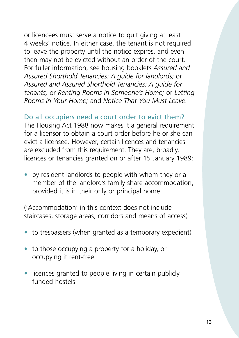<span id="page-12-0"></span>or licencees must serve a notice to quit giving at least 4 weeks' notice. In either case, the tenant is not required to leave the property until the notice expires, and even then may not be evicted without an order of the court. For fuller information, see housing booklets *Assured and Assured Shorthold Tenancies: A guide for landlords;* or *Assured and Assured Shorthold Tenancies: A guide for tenants;* or *Renting Rooms in Someone's Home;* or *Letting Rooms in Your Home;* and *Notice That You Must Leave.*

Do all occupiers need a court order to evict them? The Housing Act 1988 now makes it a general requirement for a licensor to obtain a court order before he or she can evict a licensee. However, certain licences and tenancies are excluded from this requirement. They are, broadly, licences or tenancies granted on or after 15 January 1989:

• by resident landlords to people with whom they or a member of the landlord's family share accommodation, provided it is in their only or principal home

('Accommodation' in this context does not include staircases, storage areas, corridors and means of access)

- to trespassers (when granted as a temporary expedient)
- to those occupying a property for a holiday, or occupying it rent-free
- licences granted to people living in certain publicly funded hostels.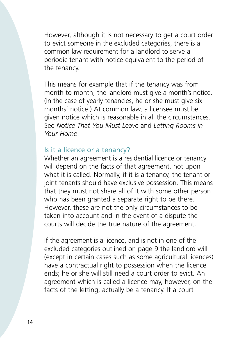<span id="page-13-0"></span>However, although it is not necessary to get a court order to evict someone in the excluded categories, there is a common law requirement for a landlord to serve a periodic tenant with notice equivalent to the period of the tenancy.

This means for example that if the tenancy was from month to month, the landlord must give a month's notice. (In the case of yearly tenancies, he or she must give six months' notice.) At common law, a licensee must be given notice which is reasonable in all the circumstances. See *Notice That You Must Leave* and *Letting Rooms in Your Home*.

#### Is it a licence or a tenancy?

Whether an agreement is a residential licence or tenancy will depend on the facts of that agreement, not upon what it is called. Normally, if it is a tenancy, the tenant or joint tenants should have exclusive possession. This means that they must not share all of it with some other person who has been granted a separate right to be there. However, these are not the only circumstances to be taken into account and in the event of a dispute the courts will decide the true nature of the agreement.

If the agreement is a licence, and is not in one of the excluded categories outlined on page 9 the landlord will (except in certain cases such as some agricultural licences) have a contractual right to possession when the licence ends; he or she will still need a court order to evict. An agreement which is called a licence may, however, on the facts of the letting, actually be a tenancy. If a court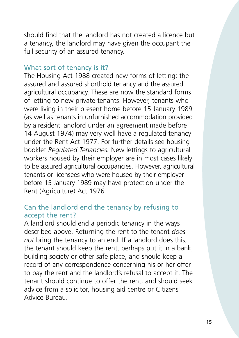<span id="page-14-0"></span>should find that the landlord has not created a licence but a tenancy, the landlord may have given the occupant the full security of an assured tenancy.

#### What sort of tenancy is it?

The Housing Act 1988 created new forms of letting: the assured and assured shorthold tenancy and the assured agricultural occupancy. These are now the standard forms of letting to new private tenants. However, tenants who were living in their present home before 15 January 1989 (as well as tenants in unfurnished accommodation provided by a resident landlord under an agreement made before 14 August 1974) may very well have a regulated tenancy under the Rent Act 1977. For further details see housing booklet *Regulated Tenancies.* New lettings to agricultural workers housed by their employer are in most cases likely to be assured agricultural occupancies. However, agricultural tenants or licensees who were housed by their employer before 15 January 1989 may have protection under the Rent (Agriculture) Act 1976.

#### Can the landlord end the tenancy by refusing to accept the rent?

A landlord should end a periodic tenancy in the ways described above. Returning the rent to the tenant *does not* bring the tenancy to an end. If a landlord does this, the tenant should keep the rent, perhaps put it in a bank, building society or other safe place, and should keep a record of any correspondence concerning his or her offer to pay the rent and the landlord's refusal to accept it. The tenant should continue to offer the rent, and should seek advice from a solicitor, housing aid centre or Citizens Advice Bureau.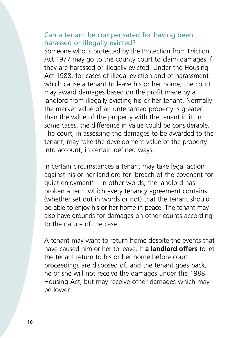#### <span id="page-15-0"></span>Can a tenant be compensated for having been harassed or illegally evicted?

Someone who is protected by the Protection from Eviction Act 1977 may go to the county court to claim damages if they are harassed or illegally evicted. Under the Housing Act 1988, for cases of illegal eviction and of harassment which cause a tenant to leave his or her home, the court may award damages based on the profit made by a landlord from illegally evicting his or her tenant. Normally the market value of an untenanted property is greater than the value of the property with the tenant in it. In some cases, the difference in value could be considerable. The court, in assessing the damages to be awarded to the tenant, may take the development value of the property into account, in certain defined ways.

In certain circumstances a tenant may take legal action against his or her landlord for 'breach of the covenant for quiet enjoyment' – in other words, the landlord has broken a term which every tenancy agreement contains (whether set out in words or not) that the tenant should be able to enjoy his or her home in peace. The tenant may also have grounds for damages on other counts according to the nature of the case.

A tenant may want to return home despite the events that have caused him or her to leave. If **a landlord offers** to let the tenant return to his or her home before court proceedings are disposed of, and the tenant goes back, he or she will not receive the damages under the 1988 Housing Act, but may receive other damages which may be lower.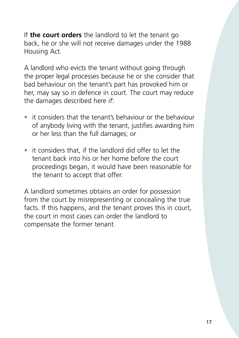If **the court orders** the landlord to let the tenant go back, he or she will not receive damages under the 1988 Housing Act.

A landlord who evicts the tenant without going through the proper legal processes because he or she consider that bad behaviour on the tenant's part has provoked him or her, may say so in defence in court. The court may reduce the damages described here *if*:

- it considers that the tenant's behaviour or the behaviour of anybody living with the tenant, justifies awarding him or her less than the full damages; *or*
- it considers that, if the landlord did offer to let the tenant back into his or her home before the court proceedings began, it would have been reasonable for the tenant to accept that offer.

A landlord sometimes obtains an order for possession from the court by misrepresenting or concealing the true facts. If this happens, and the tenant proves this in court, the court in most cases can order the landlord to compensate the former tenant.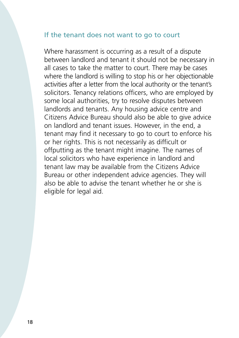#### <span id="page-17-0"></span>If the tenant does not want to go to court

Where harassment is occurring as a result of a dispute between landlord and tenant it should not be necessary in all cases to take the matter to court. There may be cases where the landlord is willing to stop his or her objectionable activities after a letter from the local authority or the tenant's solicitors. Tenancy relations officers, who are employed by some local authorities, try to resolve disputes between landlords and tenants. Any housing advice centre and Citizens Advice Bureau should also be able to give advice on landlord and tenant issues. However, in the end, a tenant may find it necessary to go to court to enforce his or her rights. This is not necessarily as difficult or offputting as the tenant might imagine. The names of local solicitors who have experience in landlord and tenant law may be available from the Citizens Advice Bureau or other independent advice agencies. They will also be able to advise the tenant whether he or she is eligible for legal aid.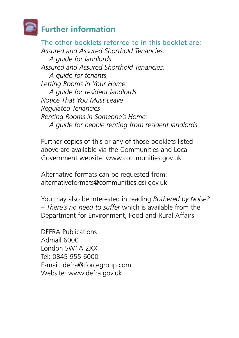## <span id="page-18-0"></span>**Further information**

The other booklets referred to in this booklet are: *Assured and Assured Shorthold Tenancies: A guide for landlords Assured and Assured Shorthold Tenancies: A guide for tenants Letting Rooms in Your Home: A guide for resident landlords Notice That You Must Leave Regulated Tenancies Renting Rooms in Someone's Home: A guide for people renting from resident landlords*

Further copies of this or any of those booklets listed above are available via the Communities and Local Government website: www.communities.gov.uk

Alternative formats can be requested from: alternativeformats@communities.gsi.gov.uk

You may also be interested in reading *Bothered by Noise? – There's no need to suffer* which is available from the Department for Environment, Food and Rural Affairs.

DEFRA Publications Admail 6000 London SW1A 2XX Tel: 0845 955 6000 E-mail: defra@iforcegroup.com Website: www.defra.gov.uk